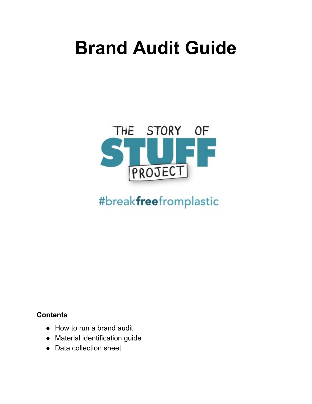# **Brand Audit Guide**



# #breakfreefromplastic

## **Contents**

- How to run a brand audit
- Material identification guide
- Data collection sheet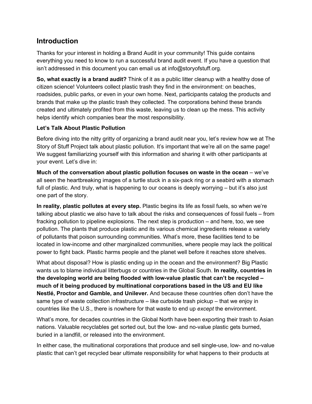### **Introduction**

Thanks for your interest in holding a Brand Audit in your community! This guide contains everything you need to know to run a successful brand audit event. If you have a question that isn't addressed in this document you can email us at info@storyofstuff.org.

**So, what exactly is a brand audit?** Think of it as a public litter cleanup with a healthy dose of citizen science! Volunteers collect plastic trash they find in the environment: on beaches, roadsides, public parks, or even in your own home. Next, participants catalog the products and brands that make up the plastic trash they collected. The corporations behind these brands created and ultimately profited from this waste, leaving us to clean up the mess. This activity helps identify which companies bear the most responsibility.

#### **Let's Talk About Plastic Pollution**

Before diving into the nitty gritty of organizing a brand audit near you, let's review how we at The Story of Stuff Project talk about plastic pollution. It's important that we're all on the same page! We suggest familiarizing yourself with this information and sharing it with other participants at your event. Let's dive in:

**Much of the conversation about plastic pollution focuses on waste in the ocean** – we've all seen the heartbreaking images of a turtle stuck in a six-pack ring or a seabird with a stomach full of plastic. And truly, what is happening to our oceans is deeply worrying – but it's also just one part of the story.

**In reality, plastic pollutes at every step.** Plastic begins its life as fossil fuels, so when we're talking about plastic we also have to talk about the risks and consequences of fossil fuels – from fracking pollution to pipeline explosions. The next step is production – and here, too, we see pollution. The plants that produce plastic and its various chemical ingredients release a variety of pollutants that poison surrounding communities. What's more, these facilities tend to be located in low-income and other marginalized communities, where people may lack the political power to fight back. Plastic harms people and the planet well before it reaches store shelves.

What about disposal? How is plastic ending up in the ocean and the environment? Big Plastic wants us to blame individual litterbugs or countries in the Global South. **In reality, countries in the developing world are being flooded with low-value plastic that can't be recycled – much of it being produced by multinational corporations based in the US and EU like Nestlé, Proctor and Gamble, and Unilever.** And because these countries often don't have the same type of waste collection infrastructure – like curbside trash pickup – that we enjoy in countries like the U.S., there is nowhere for that waste to end up *except* the environment.

What's more, for decades countries in the Global North have been exporting their trash to Asian nations. Valuable recyclables get sorted out, but the low- and no-value plastic gets burned, buried in a landfill, or released into the environment.

In either case, the multinational corporations that produce and sell single-use, low- and no-value plastic that can't get recycled bear ultimate responsibility for what happens to their products at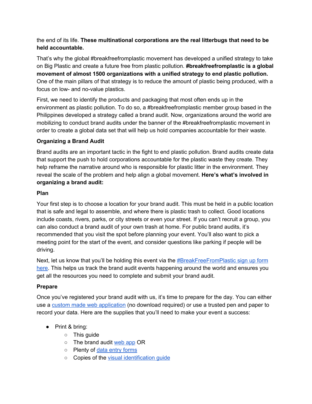#### the end of its life. **These multinational corporations are the real litterbugs that need to be held accountable.**

That's why the global #breakfreefromplastic movement has developed a unified strategy to take on Big Plastic and create a future free from plastic pollution. **#breakfreefromplastic is a global movement of almost 1500 organizations with a unified strategy to end plastic pollution.** One of the main pillars of that strategy is to reduce the amount of plastic being produced, with a focus on low- and no-value plastics.

First, we need to identify the products and packaging that most often ends up in the environment as plastic pollution. To do so, a #breakfreefromplastic member group based in the Philippines developed a strategy called a brand audit. Now, organizations around the world are mobilizing to conduct brand audits under the banner of the #breakfreefromplastic movement in order to create a global data set that will help us hold companies accountable for their waste.

#### **Organizing a Brand Audit**

Brand audits are an important tactic in the fight to end plastic pollution. Brand audits create data that support the push to hold corporations accountable for the plastic waste they create. They help reframe the narrative around who is responsible for plastic litter in the environment. They reveal the scale of the problem and help align a global movement. **Here's what's involved in organizing a brand audit:**

#### **Plan**

Your first step is to choose a location for your brand audit. This must be held in a public location that is safe and legal to assemble, and where there is plastic trash to collect. Good locations include coasts, rivers, parks, or city streets or even your street. If you can't recruit a group, you can also conduct a brand audit of your own trash at home. For public brand audits, it's recommended that you visit the spot before planning your event. You'll also want to pick a meeting point for the start of the event, and consider questions like parking if people will be driving.

Next, let us know that you'll be holding this event via the **[#BreakFreeFromPlastic](https://www.breakfreefromplastic.org/brandauditsignup/) sign up form** [here](https://www.breakfreefromplastic.org/brandauditsignup/). This helps us track the brand audit events happening around the world and ensures you get all the resources you need to complete and submit your brand audit.

#### **Prepare**

Once you've registered your brand audit with us, it's time to prepare for the day. You can either use a custom made web [application](https://www.trashblitzapp.com/signup) (no download required) or use a trusted pen and paper to record your data. Here are the supplies that you'll need to make your event a success:

- Print & bring:
	- This guide
	- o The brand audit [web](https://www.trashblitzapp.com/signup) app OR
	- o Plenty of data entry [forms](https://www.breakfreefromplastic.org/wp-content/uploads/2019/08/BFFP_Brand_Audit_Form_ENG.pdf)
	- Copies of the visual [identification](https://www.breakfreefromplastic.org/wp-content/uploads/2019/09/BFFP-Brand-Audit-Type-Categories-Visual-2019_ENG.pdf) guide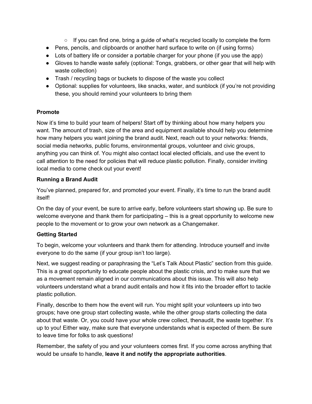- $\circ$  If you can find one, bring a guide of what's recycled locally to complete the form
- Pens, pencils, and clipboards or another hard surface to write on (if using forms)
- Lots of battery life or consider a portable charger for your phone (if you use the app)
- Gloves to handle waste safely (optional: Tongs, grabbers, or other gear that will help with waste collection)
- Trash / recycling bags or buckets to dispose of the waste you collect
- Optional: supplies for volunteers, like snacks, water, and sunblock (if you're not providing these, you should remind your volunteers to bring them

#### **Promote**

Now it's time to build your team of helpers! Start off by thinking about how many helpers you want. The amount of trash, size of the area and equipment available should help you determine how many helpers you want joining the brand audit. Next, reach out to your networks: friends, social media networks, public forums, environmental groups, volunteer and civic groups, anything you can think of. You might also contact local elected officials, and use the event to call attention to the need for policies that will reduce plastic pollution. Finally, consider inviting local media to come check out your event!

#### **Running a Brand Audit**

You've planned, prepared for, and promoted your event. Finally, it's time to run the brand audit itself!

On the day of your event, be sure to arrive early, before volunteers start showing up. Be sure to welcome everyone and thank them for participating – this is a great opportunity to welcome new people to the movement or to grow your own network as a Changemaker.

#### **Getting Started**

To begin, welcome your volunteers and thank them for attending. Introduce yourself and invite everyone to do the same (if your group isn't too large).

Next, we suggest reading or paraphrasing the "Let's Talk About Plastic" section from this guide. This is a great opportunity to educate people about the plastic crisis, and to make sure that we as a movement remain aligned in our communications about this issue. This will also help volunteers understand what a brand audit entails and how it fits into the broader effort to tackle plastic pollution.

Finally, describe to them how the event will run. You might split your volunteers up into two groups; have one group start collecting waste, while the other group starts collecting the data about that waste. Or, you could have your whole crew collect, thenaudit, the waste together. It's up to you! Either way, make sure that everyone understands what is expected of them. Be sure to leave time for folks to ask questions!

Remember, the safety of you and your volunteers comes first. If you come across anything that would be unsafe to handle, **leave it and notify the appropriate authorities**.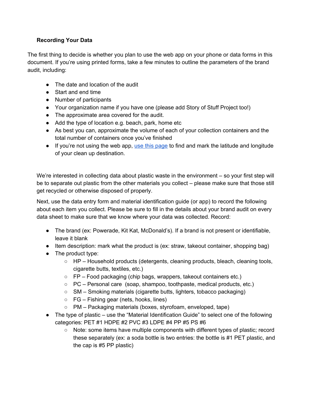#### **Recording Your Data**

The first thing to decide is whether you plan to use the web app on your phone or data forms in this document. If you're using printed forms, take a few minutes to outline the parameters of the brand audit, including:

- The date and location of the audit
- Start and end time
- Number of participants
- Your organization name if you have one (please add Story of Stuff Project too!)
- The approximate area covered for the audit.
- Add the type of location e.g. beach, park, home etc
- As best you can, approximate the volume of each of your collection containers and the total number of containers once you've finished
- If you're not using the web app, use this [page](https://www.latlong.net/) to find and mark the latitude and longitude of your clean up destination.

We're interested in collecting data about plastic waste in the environment – so your first step will be to separate out plastic from the other materials you collect – please make sure that those still get recycled or otherwise disposed of properly.

Next, use the data entry form and material identification guide (or app) to record the following about each item you collect. Please be sure to fill in the details about your brand audit on every data sheet to make sure that we know where your data was collected. Record:

- The brand (ex: Powerade, Kit Kat, McDonald's). If a brand is not present or identifiable, leave it blank
- Item description: mark what the product is (ex: straw, takeout container, shopping bag)
- The product type:
	- HP Household products (detergents, cleaning products, bleach, cleaning tools, cigarette butts, textiles, etc.)
	- FP Food packaging (chip bags, wrappers, takeout containers etc.)
	- PC Personal care (soap, shampoo, toothpaste, medical products, etc.)
	- SM Smoking materials (cigarette butts, lighters, tobacco packaging)
	- $\circ$  FG Fishing gear (nets, hooks, lines)
	- PM Packaging materials (boxes, styrofoam, enveloped, tape)
- The type of plastic use the "Material Identification Guide" to select one of the following categories: PET #1 HDPE #2 PVC #3 LDPE #4 PP #5 PS #6
	- Note: some items have multiple components with different types of plastic; record these separately (ex: a soda bottle is two entries: the bottle is #1 PET plastic, and the cap is #5 PP plastic)